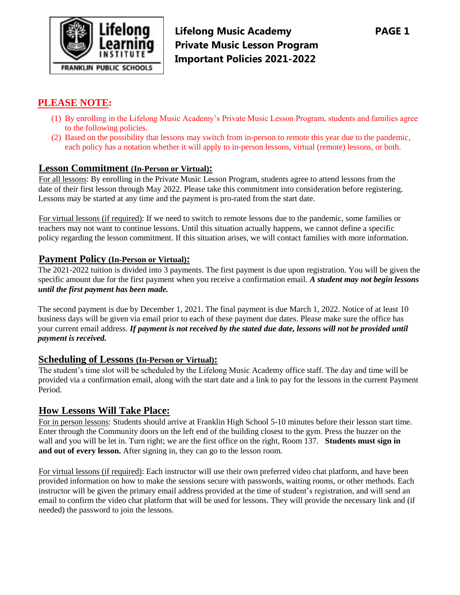

**Lifelong Music Academy PAGE 1 Private Music Lesson Program Important Policies 2021-2022**

# **PLEASE NOTE:**

- (1) By enrolling in the Lifelong Music Academy's Private Music Lesson Program, students and families agree to the following policies.
- (2) Based on the possibility that lessons may switch from in-person to remote this year due to the pandemic, each policy has a notation whether it will apply to in-person lessons, virtual (remote) lessons, or both.

#### **Lesson Commitment (In-Person or Virtual):**

For all lessons: By enrolling in the Private Music Lesson Program, students agree to attend lessons from the date of their first lesson through May 2022. Please take this commitment into consideration before registering. Lessons may be started at any time and the payment is pro-rated from the start date.

For virtual lessons (if required): If we need to switch to remote lessons due to the pandemic, some families or teachers may not want to continue lessons. Until this situation actually happens, we cannot define a specific policy regarding the lesson commitment. If this situation arises, we will contact families with more information.

#### **Payment Policy (In-Person or Virtual):**

The 2021-2022 tuition is divided into 3 payments. The first payment is due upon registration. You will be given the specific amount due for the first payment when you receive a confirmation email. *A student may not begin lessons until the first payment has been made.* 

The second payment is due by December 1, 2021. The final payment is due March 1, 2022. Notice of at least 10 business days will be given via email prior to each of these payment due dates. Please make sure the office has your current email address. *If payment is not received by the stated due date, lessons will not be provided until payment is received.* 

#### **Scheduling of Lessons (In-Person or Virtual):**

The student's time slot will be scheduled by the Lifelong Music Academy office staff. The day and time will be provided via a confirmation email, along with the start date and a link to pay for the lessons in the current Payment Period.

## **How Lessons Will Take Place:**

For in person lessons: Students should arrive at Franklin High School 5-10 minutes before their lesson start time. Enter through the Community doors on the left end of the building closest to the gym. Press the buzzer on the wall and you will be let in. Turn right; we are the first office on the right, Room 137. **Students must sign in and out of every lesson.** After signing in, they can go to the lesson room.

For virtual lessons (if required): Each instructor will use their own preferred video chat platform, and have been provided information on how to make the sessions secure with passwords, waiting rooms, or other methods. Each instructor will be given the primary email address provided at the time of student's registration, and will send an email to confirm the video chat platform that will be used for lessons. They will provide the necessary link and (if needed) the password to join the lessons.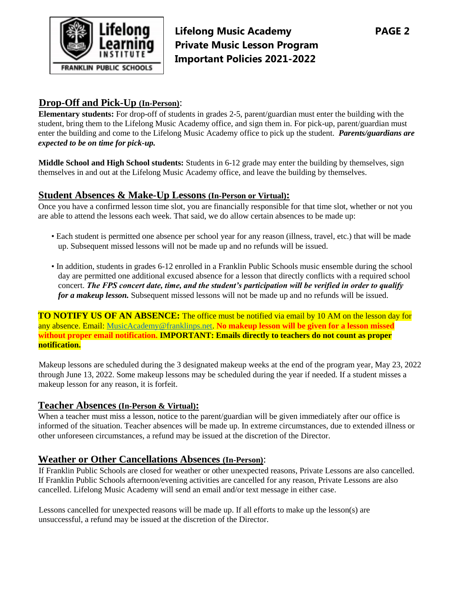

**Lifelong Music Academy PAGE 2 Private Music Lesson Program Important Policies 2021-2022**

# **Drop-Off and Pick-Up (In-Person)**:

**Elementary students:** For drop-off of students in grades 2-5, parent/guardian must enter the building with the student, bring them to the Lifelong Music Academy office, and sign them in. For pick-up, parent/guardian must enter the building and come to the Lifelong Music Academy office to pick up the student. *Parents/guardians are expected to be on time for pick-up.* 

**Middle School and High School students:** Students in 6-12 grade may enter the building by themselves, sign themselves in and out at the Lifelong Music Academy office, and leave the building by themselves.

## **Student Absences & Make-Up Lessons (In-Person or Virtual):**

Once you have a confirmed lesson time slot, you are financially responsible for that time slot, whether or not you are able to attend the lessons each week. That said, we do allow certain absences to be made up:

- Each student is permitted one absence per school year for any reason (illness, travel, etc.) that will be made up. Subsequent missed lessons will not be made up and no refunds will be issued.
- In addition, students in grades 6-12 enrolled in a Franklin Public Schools music ensemble during the school day are permitted one additional excused absence for a lesson that directly conflicts with a required school concert. *The FPS concert date, time, and the student's participation will be verified in order to qualify for a makeup lesson.* Subsequent missed lessons will not be made up and no refunds will be issued.

**TO NOTIFY US OF AN ABSENCE:** The office must be notified via email by 10 AM on the lesson day for any absence. Email: MusicAcademy@franklinps.net. **No makeup lesson will be given for a lesson missed without proper email notification. IMPORTANT: Emails directly to teachers do not count as proper notification.**

Makeup lessons are scheduled during the 3 designated makeup weeks at the end of the program year, May 23, 2022 through June 13, 2022. Some makeup lessons may be scheduled during the year if needed. If a student misses a makeup lesson for any reason, it is forfeit.

#### **Teacher Absences (In-Person & Virtual):**

When a teacher must miss a lesson, notice to the parent/guardian will be given immediately after our office is informed of the situation. Teacher absences will be made up. In extreme circumstances, due to extended illness or other unforeseen circumstances, a refund may be issued at the discretion of the Director.

### **Weather or Other Cancellations Absences (In-Person)**:

If Franklin Public Schools are closed for weather or other unexpected reasons, Private Lessons are also cancelled. If Franklin Public Schools afternoon/evening activities are cancelled for any reason, Private Lessons are also cancelled. Lifelong Music Academy will send an email and/or text message in either case.

Lessons cancelled for unexpected reasons will be made up. If all efforts to make up the lesson(s) are unsuccessful, a refund may be issued at the discretion of the Director.